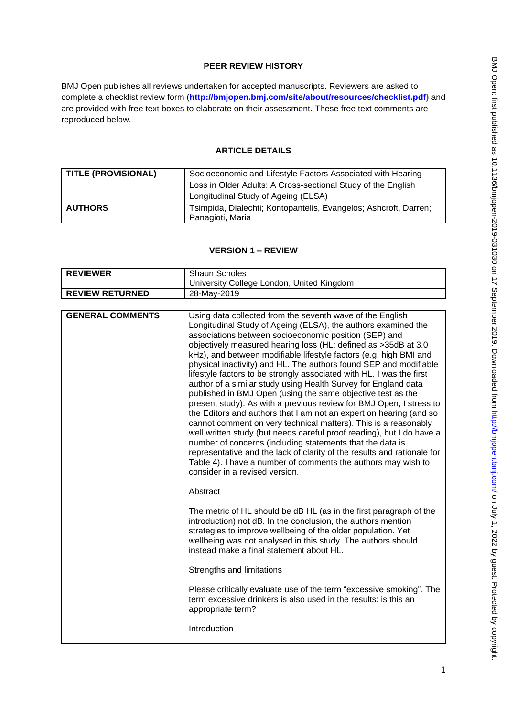# **PEER REVIEW HISTORY**

BMJ Open publishes all reviews undertaken for accepted manuscripts. Reviewers are asked to complete a checklist review form (**[http://bmjopen.bmj.com/site/about/resources/checklist.pdf\)](http://bmjopen.bmj.com/site/about/resources/checklist.pdf)** and are provided with free text boxes to elaborate on their assessment. These free text comments are reproduced below.

# **ARTICLE DETAILS**

| <b>TITLE (PROVISIONAL)</b> | Socioeconomic and Lifestyle Factors Associated with Hearing<br>Loss in Older Adults: A Cross-sectional Study of the English<br>Longitudinal Study of Ageing (ELSA) |
|----------------------------|--------------------------------------------------------------------------------------------------------------------------------------------------------------------|
| <b>AUTHORS</b>             | Tsimpida, Dialechti; Kontopantelis, Evangelos; Ashcroft, Darren;<br>Panagioti, Maria                                                                               |

## **VERSION 1 – REVIEW**

| <b>REVIEWER</b>         | <b>Shaun Scholes</b>                                                                                                                                                                                                                                                                                                                                                                                                                                                                                                                                                                                                                                                                                                                                                                                                                                                                                                                                                                                                                                                                                                                         |
|-------------------------|----------------------------------------------------------------------------------------------------------------------------------------------------------------------------------------------------------------------------------------------------------------------------------------------------------------------------------------------------------------------------------------------------------------------------------------------------------------------------------------------------------------------------------------------------------------------------------------------------------------------------------------------------------------------------------------------------------------------------------------------------------------------------------------------------------------------------------------------------------------------------------------------------------------------------------------------------------------------------------------------------------------------------------------------------------------------------------------------------------------------------------------------|
|                         | University College London, United Kingdom                                                                                                                                                                                                                                                                                                                                                                                                                                                                                                                                                                                                                                                                                                                                                                                                                                                                                                                                                                                                                                                                                                    |
| <b>REVIEW RETURNED</b>  | 28-May-2019                                                                                                                                                                                                                                                                                                                                                                                                                                                                                                                                                                                                                                                                                                                                                                                                                                                                                                                                                                                                                                                                                                                                  |
|                         |                                                                                                                                                                                                                                                                                                                                                                                                                                                                                                                                                                                                                                                                                                                                                                                                                                                                                                                                                                                                                                                                                                                                              |
| <b>GENERAL COMMENTS</b> | Using data collected from the seventh wave of the English<br>Longitudinal Study of Ageing (ELSA), the authors examined the<br>associations between socioeconomic position (SEP) and<br>objectively measured hearing loss (HL: defined as >35dB at 3.0<br>kHz), and between modifiable lifestyle factors (e.g. high BMI and<br>physical inactivity) and HL. The authors found SEP and modifiable<br>lifestyle factors to be strongly associated with HL. I was the first<br>author of a similar study using Health Survey for England data<br>published in BMJ Open (using the same objective test as the<br>present study). As with a previous review for BMJ Open, I stress to<br>the Editors and authors that I am not an expert on hearing (and so<br>cannot comment on very technical matters). This is a reasonably<br>well written study (but needs careful proof reading), but I do have a<br>number of concerns (including statements that the data is<br>representative and the lack of clarity of the results and rationale for<br>Table 4). I have a number of comments the authors may wish to<br>consider in a revised version. |
|                         | Abstract                                                                                                                                                                                                                                                                                                                                                                                                                                                                                                                                                                                                                                                                                                                                                                                                                                                                                                                                                                                                                                                                                                                                     |
|                         | The metric of HL should be dB HL (as in the first paragraph of the<br>introduction) not dB. In the conclusion, the authors mention<br>strategies to improve wellbeing of the older population. Yet<br>wellbeing was not analysed in this study. The authors should<br>instead make a final statement about HL.                                                                                                                                                                                                                                                                                                                                                                                                                                                                                                                                                                                                                                                                                                                                                                                                                               |
|                         | Strengths and limitations                                                                                                                                                                                                                                                                                                                                                                                                                                                                                                                                                                                                                                                                                                                                                                                                                                                                                                                                                                                                                                                                                                                    |
|                         | Please critically evaluate use of the term "excessive smoking". The<br>term excessive drinkers is also used in the results; is this an<br>appropriate term?                                                                                                                                                                                                                                                                                                                                                                                                                                                                                                                                                                                                                                                                                                                                                                                                                                                                                                                                                                                  |
|                         | Introduction                                                                                                                                                                                                                                                                                                                                                                                                                                                                                                                                                                                                                                                                                                                                                                                                                                                                                                                                                                                                                                                                                                                                 |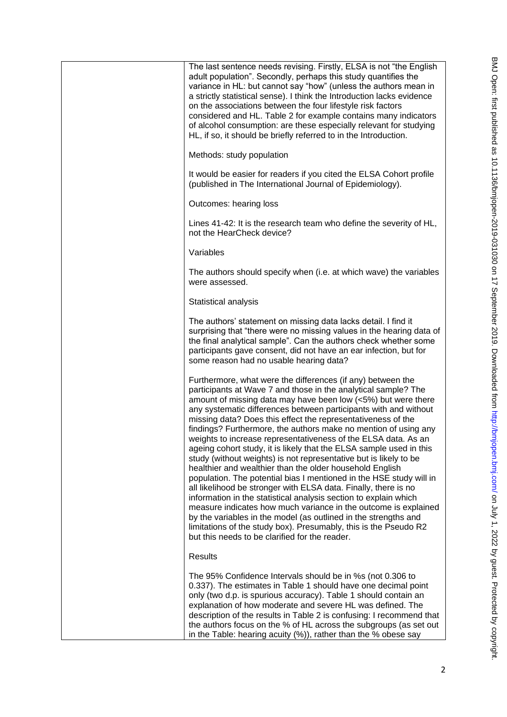| The last sentence needs revising. Firstly, ELSA is not "the English<br>adult population". Secondly, perhaps this study quantifies the<br>variance in HL: but cannot say "how" (unless the authors mean in<br>a strictly statistical sense). I think the Introduction lacks evidence<br>on the associations between the four lifestyle risk factors<br>considered and HL. Table 2 for example contains many indicators<br>of alcohol consumption: are these especially relevant for studying<br>HL, if so, it should be briefly referred to in the Introduction.                                                                                                                                                                                                                                                                                                                                                                                                                                                                                                                                                                                           |
|-----------------------------------------------------------------------------------------------------------------------------------------------------------------------------------------------------------------------------------------------------------------------------------------------------------------------------------------------------------------------------------------------------------------------------------------------------------------------------------------------------------------------------------------------------------------------------------------------------------------------------------------------------------------------------------------------------------------------------------------------------------------------------------------------------------------------------------------------------------------------------------------------------------------------------------------------------------------------------------------------------------------------------------------------------------------------------------------------------------------------------------------------------------|
| Methods: study population                                                                                                                                                                                                                                                                                                                                                                                                                                                                                                                                                                                                                                                                                                                                                                                                                                                                                                                                                                                                                                                                                                                                 |
| It would be easier for readers if you cited the ELSA Cohort profile<br>(published in The International Journal of Epidemiology).                                                                                                                                                                                                                                                                                                                                                                                                                                                                                                                                                                                                                                                                                                                                                                                                                                                                                                                                                                                                                          |
| Outcomes: hearing loss                                                                                                                                                                                                                                                                                                                                                                                                                                                                                                                                                                                                                                                                                                                                                                                                                                                                                                                                                                                                                                                                                                                                    |
| Lines 41-42: It is the research team who define the severity of HL,<br>not the HearCheck device?                                                                                                                                                                                                                                                                                                                                                                                                                                                                                                                                                                                                                                                                                                                                                                                                                                                                                                                                                                                                                                                          |
| Variables                                                                                                                                                                                                                                                                                                                                                                                                                                                                                                                                                                                                                                                                                                                                                                                                                                                                                                                                                                                                                                                                                                                                                 |
| The authors should specify when (i.e. at which wave) the variables<br>were assessed.                                                                                                                                                                                                                                                                                                                                                                                                                                                                                                                                                                                                                                                                                                                                                                                                                                                                                                                                                                                                                                                                      |
| Statistical analysis                                                                                                                                                                                                                                                                                                                                                                                                                                                                                                                                                                                                                                                                                                                                                                                                                                                                                                                                                                                                                                                                                                                                      |
| The authors' statement on missing data lacks detail. I find it<br>surprising that "there were no missing values in the hearing data of<br>the final analytical sample". Can the authors check whether some<br>participants gave consent, did not have an ear infection, but for<br>some reason had no usable hearing data?                                                                                                                                                                                                                                                                                                                                                                                                                                                                                                                                                                                                                                                                                                                                                                                                                                |
| Furthermore, what were the differences (if any) between the<br>participants at Wave 7 and those in the analytical sample? The<br>amount of missing data may have been low (<5%) but were there<br>any systematic differences between participants with and without<br>missing data? Does this effect the representativeness of the<br>findings? Furthermore, the authors make no mention of using any<br>weights to increase representativeness of the ELSA data. As an<br>ageing cohort study, it is likely that the ELSA sample used in this<br>study (without weights) is not representative but is likely to be<br>healthier and wealthier than the older household English<br>population. The potential bias I mentioned in the HSE study will in<br>all likelihood be stronger with ELSA data. Finally, there is no<br>information in the statistical analysis section to explain which<br>measure indicates how much variance in the outcome is explained<br>by the variables in the model (as outlined in the strengths and<br>limitations of the study box). Presumably, this is the Pseudo R2<br>but this needs to be clarified for the reader. |
| <b>Results</b>                                                                                                                                                                                                                                                                                                                                                                                                                                                                                                                                                                                                                                                                                                                                                                                                                                                                                                                                                                                                                                                                                                                                            |
| The 95% Confidence Intervals should be in %s (not 0.306 to<br>0.337). The estimates in Table 1 should have one decimal point<br>only (two d.p. is spurious accuracy). Table 1 should contain an<br>explanation of how moderate and severe HL was defined. The<br>description of the results in Table 2 is confusing: I recommend that<br>the authors focus on the % of HL across the subgroups (as set out<br>in the Table: hearing acuity $(\%)$ , rather than the $\%$ obese say                                                                                                                                                                                                                                                                                                                                                                                                                                                                                                                                                                                                                                                                        |
|                                                                                                                                                                                                                                                                                                                                                                                                                                                                                                                                                                                                                                                                                                                                                                                                                                                                                                                                                                                                                                                                                                                                                           |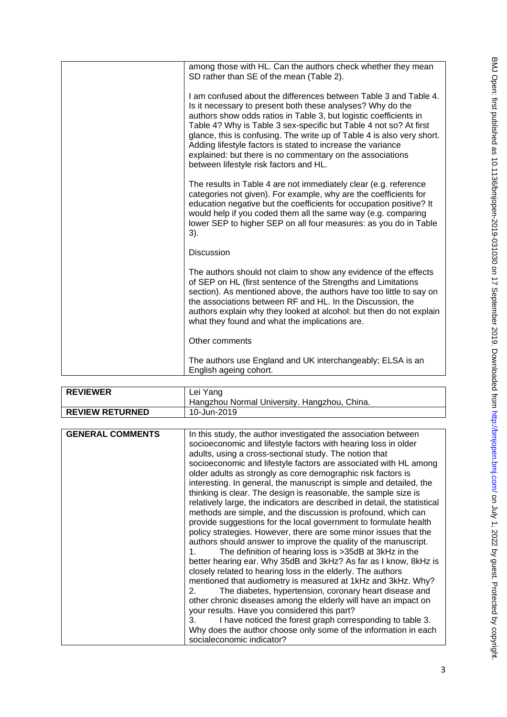| among those with HL. Can the authors check whether they mean<br>SD rather than SE of the mean (Table 2).                                                                                                                                                                                                                                                                                                                                                                                                                 |
|--------------------------------------------------------------------------------------------------------------------------------------------------------------------------------------------------------------------------------------------------------------------------------------------------------------------------------------------------------------------------------------------------------------------------------------------------------------------------------------------------------------------------|
| I am confused about the differences between Table 3 and Table 4.<br>Is it necessary to present both these analyses? Why do the<br>authors show odds ratios in Table 3, but logistic coefficients in<br>Table 4? Why is Table 3 sex-specific but Table 4 not so? At first<br>glance, this is confusing. The write up of Table 4 is also very short.<br>Adding lifestyle factors is stated to increase the variance<br>explained: but there is no commentary on the associations<br>between lifestyle risk factors and HL. |
| The results in Table 4 are not immediately clear (e.g. reference<br>categories not given). For example, why are the coefficients for<br>education negative but the coefficients for occupation positive? It<br>would help if you coded them all the same way (e.g. comparing<br>lower SEP to higher SEP on all four measures: as you do in Table<br>3).                                                                                                                                                                  |
| <b>Discussion</b>                                                                                                                                                                                                                                                                                                                                                                                                                                                                                                        |
| The authors should not claim to show any evidence of the effects<br>of SEP on HL (first sentence of the Strengths and Limitations<br>section). As mentioned above, the authors have too little to say on<br>the associations between RF and HL. In the Discussion, the<br>authors explain why they looked at alcohol: but then do not explain<br>what they found and what the implications are.                                                                                                                          |
| Other comments                                                                                                                                                                                                                                                                                                                                                                                                                                                                                                           |
| The authors use England and UK interchangeably; ELSA is an<br>English ageing cohort.                                                                                                                                                                                                                                                                                                                                                                                                                                     |

| <b>REVIEWER</b>        | Lei Yang                                     |
|------------------------|----------------------------------------------|
|                        | Hangzhou Normal University. Hangzhou, China. |
| <b>REVIEW RETURNED</b> | 10-Jun-2019                                  |
|                        |                                              |

| <b>GENERAL COMMENTS</b> | In this study, the author investigated the association between<br>socioeconomic and lifestyle factors with hearing loss in older<br>adults, using a cross-sectional study. The notion that<br>socioeconomic and lifestyle factors are associated with HL among<br>older adults as strongly as core demographic risk factors is<br>interesting. In general, the manuscript is simple and detailed, the<br>thinking is clear. The design is reasonable, the sample size is<br>relatively large, the indicators are described in detail, the statistical<br>methods are simple, and the discussion is profound, which can<br>provide suggestions for the local government to formulate health<br>policy strategies. However, there are some minor issues that the<br>authors should answer to improve the quality of the manuscript.<br>The definition of hearing loss is >35dB at 3kHz in the<br>1.<br>better hearing ear. Why 35dB and 3kHz? As far as I know, 8kHz is<br>closely related to hearing loss in the elderly. The authors<br>mentioned that audiometry is measured at 1kHz and 3kHz. Why?<br>The diabetes, hypertension, coronary heart disease and<br>2.<br>other chronic diseases among the elderly will have an impact on<br>your results. Have you considered this part?<br>I have noticed the forest graph corresponding to table 3.<br>3.<br>Why does the author choose only some of the information in each |
|-------------------------|-------------------------------------------------------------------------------------------------------------------------------------------------------------------------------------------------------------------------------------------------------------------------------------------------------------------------------------------------------------------------------------------------------------------------------------------------------------------------------------------------------------------------------------------------------------------------------------------------------------------------------------------------------------------------------------------------------------------------------------------------------------------------------------------------------------------------------------------------------------------------------------------------------------------------------------------------------------------------------------------------------------------------------------------------------------------------------------------------------------------------------------------------------------------------------------------------------------------------------------------------------------------------------------------------------------------------------------------------------------------------------------------------------------------------------|
|                         | socialeconomic indicator?                                                                                                                                                                                                                                                                                                                                                                                                                                                                                                                                                                                                                                                                                                                                                                                                                                                                                                                                                                                                                                                                                                                                                                                                                                                                                                                                                                                                     |
|                         |                                                                                                                                                                                                                                                                                                                                                                                                                                                                                                                                                                                                                                                                                                                                                                                                                                                                                                                                                                                                                                                                                                                                                                                                                                                                                                                                                                                                                               |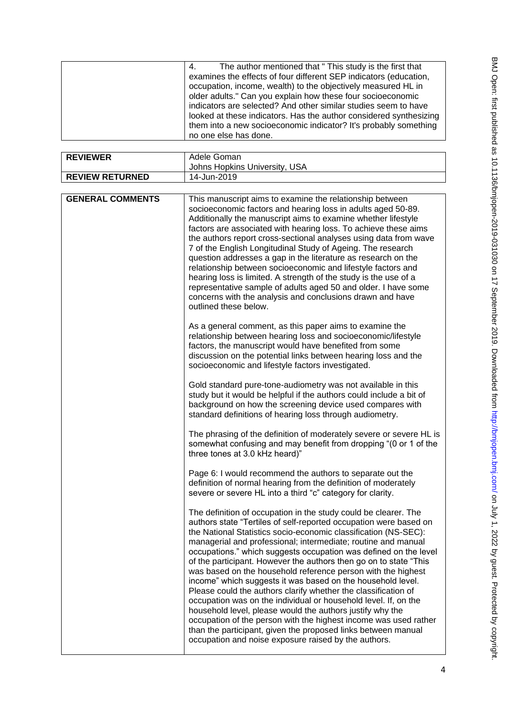| The author mentioned that " This study is the first that<br>4.     |
|--------------------------------------------------------------------|
| examines the effects of four different SEP indicators (education,  |
| occupation, income, wealth) to the objectively measured HL in      |
| older adults." Can you explain how these four socioeconomic        |
| indicators are selected? And other similar studies seem to have    |
| looked at these indicators. Has the author considered synthesizing |
| them into a new socioeconomic indicator? It's probably something   |
| no one else has done.                                              |

| <b>REVIEWER</b>         | Adele Goman                                                                                                                                                                                                                                                                                                                                                                                                                                                                                                                                                                                                                                                                                                                                                                                                                                                                                                                                     |
|-------------------------|-------------------------------------------------------------------------------------------------------------------------------------------------------------------------------------------------------------------------------------------------------------------------------------------------------------------------------------------------------------------------------------------------------------------------------------------------------------------------------------------------------------------------------------------------------------------------------------------------------------------------------------------------------------------------------------------------------------------------------------------------------------------------------------------------------------------------------------------------------------------------------------------------------------------------------------------------|
|                         | Johns Hopkins University, USA                                                                                                                                                                                                                                                                                                                                                                                                                                                                                                                                                                                                                                                                                                                                                                                                                                                                                                                   |
| <b>REVIEW RETURNED</b>  | 14-Jun-2019                                                                                                                                                                                                                                                                                                                                                                                                                                                                                                                                                                                                                                                                                                                                                                                                                                                                                                                                     |
|                         |                                                                                                                                                                                                                                                                                                                                                                                                                                                                                                                                                                                                                                                                                                                                                                                                                                                                                                                                                 |
| <b>GENERAL COMMENTS</b> | This manuscript aims to examine the relationship between<br>socioeconomic factors and hearing loss in adults aged 50-89.<br>Additionally the manuscript aims to examine whether lifestyle<br>factors are associated with hearing loss. To achieve these aims<br>the authors report cross-sectional analyses using data from wave<br>7 of the English Longitudinal Study of Ageing. The research<br>question addresses a gap in the literature as research on the<br>relationship between socioeconomic and lifestyle factors and<br>hearing loss is limited. A strength of the study is the use of a<br>representative sample of adults aged 50 and older. I have some<br>concerns with the analysis and conclusions drawn and have<br>outlined these below.                                                                                                                                                                                    |
|                         | As a general comment, as this paper aims to examine the<br>relationship between hearing loss and socioeconomic/lifestyle<br>factors, the manuscript would have benefited from some<br>discussion on the potential links between hearing loss and the<br>socioeconomic and lifestyle factors investigated.                                                                                                                                                                                                                                                                                                                                                                                                                                                                                                                                                                                                                                       |
|                         | Gold standard pure-tone-audiometry was not available in this<br>study but it would be helpful if the authors could include a bit of<br>background on how the screening device used compares with<br>standard definitions of hearing loss through audiometry.                                                                                                                                                                                                                                                                                                                                                                                                                                                                                                                                                                                                                                                                                    |
|                         | The phrasing of the definition of moderately severe or severe HL is<br>somewhat confusing and may benefit from dropping "(0 or 1 of the<br>three tones at 3.0 kHz heard)"                                                                                                                                                                                                                                                                                                                                                                                                                                                                                                                                                                                                                                                                                                                                                                       |
|                         | Page 6: I would recommend the authors to separate out the<br>definition of normal hearing from the definition of moderately<br>severe or severe HL into a third "c" category for clarity.                                                                                                                                                                                                                                                                                                                                                                                                                                                                                                                                                                                                                                                                                                                                                       |
|                         | The definition of occupation in the study could be clearer. The<br>authors state "Tertiles of self-reported occupation were based on<br>the National Statistics socio-economic classification (NS-SEC):<br>managerial and professional; intermediate; routine and manual<br>occupations." which suggests occupation was defined on the level<br>of the participant. However the authors then go on to state "This<br>was based on the household reference person with the highest<br>income" which suggests it was based on the household level.<br>Please could the authors clarify whether the classification of<br>occupation was on the individual or household level. If, on the<br>household level, please would the authors justify why the<br>occupation of the person with the highest income was used rather<br>than the participant, given the proposed links between manual<br>occupation and noise exposure raised by the authors. |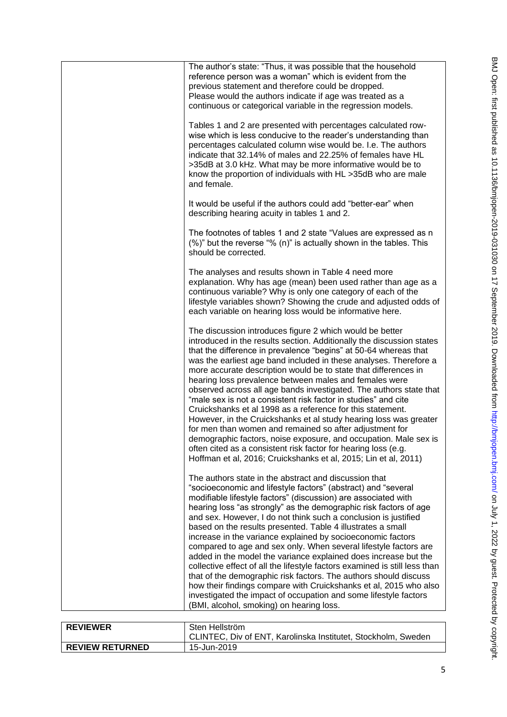|                 | The author's state: "Thus, it was possible that the household<br>reference person was a woman" which is evident from the<br>previous statement and therefore could be dropped.<br>Please would the authors indicate if age was treated as a<br>continuous or categorical variable in the regression models.<br>Tables 1 and 2 are presented with percentages calculated row-<br>wise which is less conducive to the reader's understanding than<br>percentages calculated column wise would be. I.e. The authors<br>indicate that 32.14% of males and 22.25% of females have HL<br>>35dB at 3.0 kHz. What may be more informative would be to<br>know the proportion of individuals with HL >35dB who are male<br>and female.<br>It would be useful if the authors could add "better-ear" when<br>describing hearing acuity in tables 1 and 2.<br>The footnotes of tables 1 and 2 state "Values are expressed as n<br>(%)" but the reverse "% (n)" is actually shown in the tables. This<br>should be corrected.<br>The analyses and results shown in Table 4 need more<br>explanation. Why has age (mean) been used rather than age as a<br>continuous variable? Why is only one category of each of the<br>lifestyle variables shown? Showing the crude and adjusted odds of<br>each variable on hearing loss would be informative here.<br>The discussion introduces figure 2 which would be better<br>introduced in the results section. Additionally the discussion states<br>that the difference in prevalence "begins" at 50-64 whereas that<br>was the earliest age band included in these analyses. Therefore a<br>more accurate description would be to state that differences in<br>hearing loss prevalence between males and females were<br>observed across all age bands investigated. The authors state that<br>"male sex is not a consistent risk factor in studies" and cite<br>Cruickshanks et al 1998 as a reference for this statement.<br>However, in the Cruickshanks et al study hearing loss was greater<br>for men than women and remained so after adjustment for<br>demographic factors, noise exposure, and occupation. Male sex is<br>often cited as a consistent risk factor for hearing loss (e.g. |
|-----------------|-----------------------------------------------------------------------------------------------------------------------------------------------------------------------------------------------------------------------------------------------------------------------------------------------------------------------------------------------------------------------------------------------------------------------------------------------------------------------------------------------------------------------------------------------------------------------------------------------------------------------------------------------------------------------------------------------------------------------------------------------------------------------------------------------------------------------------------------------------------------------------------------------------------------------------------------------------------------------------------------------------------------------------------------------------------------------------------------------------------------------------------------------------------------------------------------------------------------------------------------------------------------------------------------------------------------------------------------------------------------------------------------------------------------------------------------------------------------------------------------------------------------------------------------------------------------------------------------------------------------------------------------------------------------------------------------------------------------------------------------------------------------------------------------------------------------------------------------------------------------------------------------------------------------------------------------------------------------------------------------------------------------------------------------------------------------------------------------------------------------------------------------------------------------------------------------------------------------------------------|
|                 | Hoffman et al, 2016; Cruickshanks et al, 2015; Lin et al, 2011)<br>The authors state in the abstract and discussion that<br>"socioeconomic and lifestyle factors" (abstract) and "several<br>modifiable lifestyle factors" (discussion) are associated with<br>hearing loss "as strongly" as the demographic risk factors of age<br>and sex. However, I do not think such a conclusion is justified<br>based on the results presented. Table 4 illustrates a small<br>increase in the variance explained by socioeconomic factors<br>compared to age and sex only. When several lifestyle factors are<br>added in the model the variance explained does increase but the<br>collective effect of all the lifestyle factors examined is still less than<br>that of the demographic risk factors. The authors should discuss<br>how their findings compare with Cruickshanks et al, 2015 who also<br>investigated the impact of occupation and some lifestyle factors<br>(BMI, alcohol, smoking) on hearing loss.                                                                                                                                                                                                                                                                                                                                                                                                                                                                                                                                                                                                                                                                                                                                                                                                                                                                                                                                                                                                                                                                                                                                                                                                                   |
| <b>REVIEWER</b> | Sten Hellström                                                                                                                                                                                                                                                                                                                                                                                                                                                                                                                                                                                                                                                                                                                                                                                                                                                                                                                                                                                                                                                                                                                                                                                                                                                                                                                                                                                                                                                                                                                                                                                                                                                                                                                                                                                                                                                                                                                                                                                                                                                                                                                                                                                                                    |

| <b>REVIEWER</b>        | Sten Hellström                                                |
|------------------------|---------------------------------------------------------------|
|                        | CLINTEC, Div of ENT, Karolinska Institutet, Stockholm, Sweden |
| <b>REVIEW RETURNED</b> | 15-Jun-2019                                                   |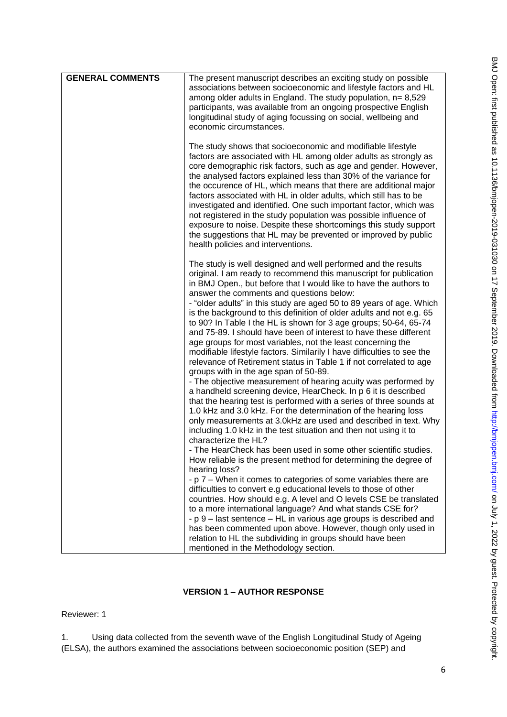| <b>GENERAL COMMENTS</b> | The present manuscript describes an exciting study on possible                                                                                |
|-------------------------|-----------------------------------------------------------------------------------------------------------------------------------------------|
|                         | associations between socioeconomic and lifestyle factors and HL                                                                               |
|                         | among older adults in England. The study population, $n = 8,529$                                                                              |
|                         | participants, was available from an ongoing prospective English                                                                               |
|                         | longitudinal study of aging focussing on social, wellbeing and                                                                                |
|                         | economic circumstances.                                                                                                                       |
|                         |                                                                                                                                               |
|                         | The study shows that socioeconomic and modifiable lifestyle                                                                                   |
|                         | factors are associated with HL among older adults as strongly as                                                                              |
|                         | core demographic risk factors, such as age and gender. However,                                                                               |
|                         | the analysed factors explained less than 30% of the variance for                                                                              |
|                         | the occurence of HL, which means that there are additional major                                                                              |
|                         | factors associated with HL in older adults, which still has to be                                                                             |
|                         | investigated and identified. One such important factor, which was                                                                             |
|                         | not registered in the study population was possible influence of                                                                              |
|                         | exposure to noise. Despite these shortcomings this study support                                                                              |
|                         | the suggestions that HL may be prevented or improved by public                                                                                |
|                         | health policies and interventions.                                                                                                            |
|                         | The study is well designed and well performed and the results                                                                                 |
|                         | original. I am ready to recommend this manuscript for publication                                                                             |
|                         | in BMJ Open., but before that I would like to have the authors to                                                                             |
|                         | answer the comments and questions below:                                                                                                      |
|                         | - "older adults" in this study are aged 50 to 89 years of age. Which                                                                          |
|                         | is the background to this definition of older adults and not e.g. 65                                                                          |
|                         | to 90? In Table I the HL is shown for 3 age groups; 50-64, 65-74                                                                              |
|                         | and 75-89. I should have been of interest to have these different                                                                             |
|                         | age groups for most variables, not the least concerning the                                                                                   |
|                         | modifiable lifestyle factors. Similarily I have difficulties to see the<br>relevance of Retirement status in Table 1 if not correlated to age |
|                         | groups with in the age span of 50-89.                                                                                                         |
|                         | - The objective measurement of hearing acuity was performed by                                                                                |
|                         | a handheld screening device, HearCheck. In p 6 it is described                                                                                |
|                         | that the hearing test is performed with a series of three sounds at                                                                           |
|                         | 1.0 kHz and 3.0 kHz. For the determination of the hearing loss                                                                                |
|                         | only measurements at 3.0kHz are used and described in text. Why                                                                               |
|                         | including 1.0 kHz in the test situation and then not using it to                                                                              |
|                         | characterize the HL?                                                                                                                          |
|                         | - The HearCheck has been used in some other scientific studies.                                                                               |
|                         | How reliable is the present method for determining the degree of                                                                              |
|                         | hearing loss?                                                                                                                                 |
|                         | - p 7 – When it comes to categories of some variables there are                                                                               |
|                         | difficulties to convert e.g educational levels to those of other<br>countries. How should e.g. A level and O levels CSE be translated         |
|                         | to a more international language? And what stands CSE for?                                                                                    |
|                         | - p 9 – last sentence – HL in various age groups is described and                                                                             |
|                         | has been commented upon above. However, though only used in                                                                                   |
|                         | relation to HL the subdividing in groups should have been                                                                                     |
|                         | mentioned in the Methodology section.                                                                                                         |

# **VERSION 1 – AUTHOR RESPONSE**

Reviewer: 1

1. Using data collected from the seventh wave of the English Longitudinal Study of Ageing (ELSA), the authors examined the associations between socioeconomic position (SEP) and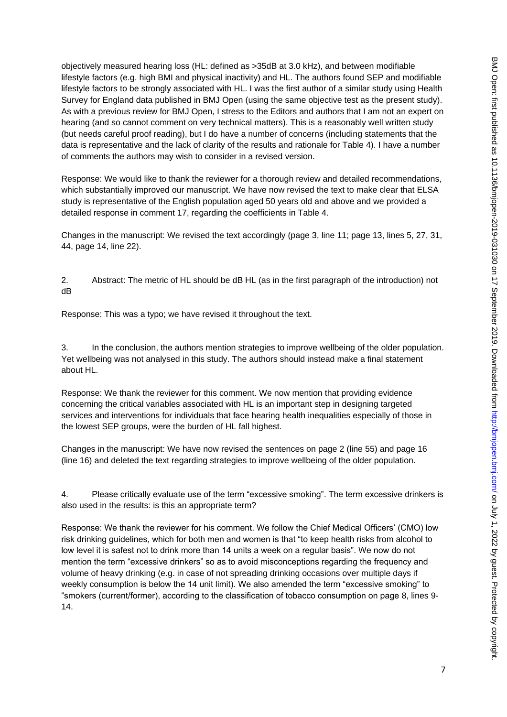objectively measured hearing loss (HL: defined as >35dB at 3.0 kHz), and between modifiable lifestyle factors (e.g. high BMI and physical inactivity) and HL. The authors found SEP and modifiable lifestyle factors to be strongly associated with HL. I was the first author of a similar study using Health Survey for England data published in BMJ Open (using the same objective test as the present study). As with a previous review for BMJ Open, I stress to the Editors and authors that I am not an expert on hearing (and so cannot comment on very technical matters). This is a reasonably well written study (but needs careful proof reading), but I do have a number of concerns (including statements that the data is representative and the lack of clarity of the results and rationale for Table 4). I have a number of comments the authors may wish to consider in a revised version.

Response: We would like to thank the reviewer for a thorough review and detailed recommendations, which substantially improved our manuscript. We have now revised the text to make clear that ELSA study is representative of the English population aged 50 years old and above and we provided a detailed response in comment 17, regarding the coefficients in Table 4.

Changes in the manuscript: We revised the text accordingly (page 3, line 11; page 13, lines 5, 27, 31, 44, page 14, line 22).

2. Abstract: The metric of HL should be dB HL (as in the first paragraph of the introduction) not dB

Response: This was a typo; we have revised it throughout the text.

3. In the conclusion, the authors mention strategies to improve wellbeing of the older population. Yet wellbeing was not analysed in this study. The authors should instead make a final statement about HL.

Response: We thank the reviewer for this comment. We now mention that providing evidence concerning the critical variables associated with HL is an important step in designing targeted services and interventions for individuals that face hearing health inequalities especially of those in the lowest SEP groups, were the burden of HL fall highest.

Changes in the manuscript: We have now revised the sentences on page 2 (line 55) and page 16 (line 16) and deleted the text regarding strategies to improve wellbeing of the older population.

4. Please critically evaluate use of the term "excessive smoking". The term excessive drinkers is also used in the results: is this an appropriate term?

Response: We thank the reviewer for his comment. We follow the Chief Medical Officers' (CMO) low risk drinking guidelines, which for both men and women is that "to keep health risks from alcohol to low level it is safest not to drink more than 14 units a week on a regular basis". We now do not mention the term "excessive drinkers" so as to avoid misconceptions regarding the frequency and volume of heavy drinking (e.g. in case of not spreading drinking occasions over multiple days if weekly consumption is below the 14 unit limit). We also amended the term "excessive smoking" to "smokers (current/former), according to the classification of tobacco consumption on page 8, lines 9- 14.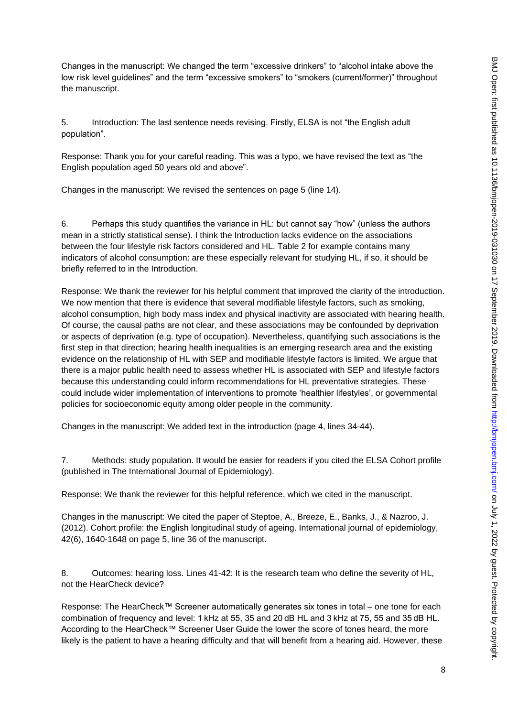Changes in the manuscript: We changed the term "excessive drinkers" to "alcohol intake above the low risk level guidelines" and the term "excessive smokers" to "smokers (current/former)" throughout the manuscript.

5. Introduction: The last sentence needs revising. Firstly, ELSA is not "the English adult population".

Response: Thank you for your careful reading. This was a typo, we have revised the text as "the English population aged 50 years old and above".

Changes in the manuscript: We revised the sentences on page 5 (line 14).

6. Perhaps this study quantifies the variance in HL: but cannot say "how" (unless the authors mean in a strictly statistical sense). I think the Introduction lacks evidence on the associations between the four lifestyle risk factors considered and HL. Table 2 for example contains many indicators of alcohol consumption: are these especially relevant for studying HL, if so, it should be briefly referred to in the Introduction.

Response: We thank the reviewer for his helpful comment that improved the clarity of the introduction. We now mention that there is evidence that several modifiable lifestyle factors, such as smoking, alcohol consumption, high body mass index and physical inactivity are associated with hearing health. Of course, the causal paths are not clear, and these associations may be confounded by deprivation or aspects of deprivation (e.g. type of occupation). Nevertheless, quantifying such associations is the first step in that direction; hearing health inequalities is an emerging research area and the existing evidence on the relationship of HL with SEP and modifiable lifestyle factors is limited. We argue that there is a major public health need to assess whether HL is associated with SEP and lifestyle factors because this understanding could inform recommendations for HL preventative strategies. These could include wider implementation of interventions to promote 'healthier lifestyles', or governmental policies for socioeconomic equity among older people in the community.

Changes in the manuscript: We added text in the introduction (page 4, lines 34-44).

7. Methods: study population. It would be easier for readers if you cited the ELSA Cohort profile (published in The International Journal of Epidemiology).

Response: We thank the reviewer for this helpful reference, which we cited in the manuscript.

Changes in the manuscript: We cited the paper of Steptoe, A., Breeze, E., Banks, J., & Nazroo, J. (2012). Cohort profile: the English longitudinal study of ageing. International journal of epidemiology, 42(6), 1640-1648 on page 5, line 36 of the manuscript.

8. Outcomes: hearing loss. Lines 41-42: It is the research team who define the severity of HL, not the HearCheck device?

Response: The HearCheck™ Screener automatically generates six tones in total – one tone for each combination of frequency and level: 1 kHz at 55, 35 and 20 dB HL and 3 kHz at 75, 55 and 35 dB HL. According to the HearCheck™ Screener User Guide the lower the score of tones heard, the more likely is the patient to have a hearing difficulty and that will benefit from a hearing aid. However, these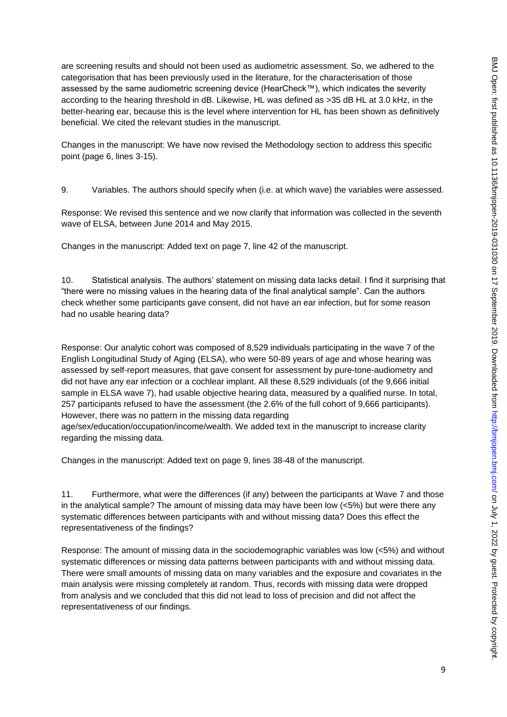are screening results and should not been used as audiometric assessment. So, we adhered to the categorisation that has been previously used in the literature, for the characterisation of those assessed by the same audiometric screening device (HearCheck™), which indicates the severity according to the hearing threshold in dB. Likewise, HL was defined as >35 dB HL at 3.0 kHz, in the better-hearing ear, because this is the level where intervention for HL has been shown as definitively beneficial. We cited the relevant studies in the manuscript.

Changes in the manuscript: We have now revised the Methodology section to address this specific point (page 6, lines 3-15).

9. Variables. The authors should specify when (i.e. at which wave) the variables were assessed.

Response: We revised this sentence and we now clarify that information was collected in the seventh wave of ELSA, between June 2014 and May 2015.

Changes in the manuscript: Added text on page 7, line 42 of the manuscript.

10. Statistical analysis. The authors' statement on missing data lacks detail. I find it surprising that "there were no missing values in the hearing data of the final analytical sample". Can the authors check whether some participants gave consent, did not have an ear infection, but for some reason had no usable hearing data?

Response: Our analytic cohort was composed of 8,529 individuals participating in the wave 7 of the English Longitudinal Study of Aging (ELSA), who were 50-89 years of age and whose hearing was assessed by self-report measures, that gave consent for assessment by pure-tone-audiometry and did not have any ear infection or a cochlear implant. All these 8,529 individuals (of the 9,666 initial sample in ELSA wave 7), had usable objective hearing data, measured by a qualified nurse. In total, 257 participants refused to have the assessment (the 2.6% of the full cohort of 9,666 participants). However, there was no pattern in the missing data regarding

age/sex/education/occupation/income/wealth. We added text in the manuscript to increase clarity regarding the missing data.

Changes in the manuscript: Added text on page 9, lines 38-48 of the manuscript.

11. Furthermore, what were the differences (if any) between the participants at Wave 7 and those in the analytical sample? The amount of missing data may have been low  $(<5\%)$  but were there any systematic differences between participants with and without missing data? Does this effect the representativeness of the findings?

Response: The amount of missing data in the sociodemographic variables was low (<5%) and without systematic differences or missing data patterns between participants with and without missing data. There were small amounts of missing data on many variables and the exposure and covariates in the main analysis were missing completely at random. Thus, records with missing data were dropped from analysis and we concluded that this did not lead to loss of precision and did not affect the representativeness of our findings.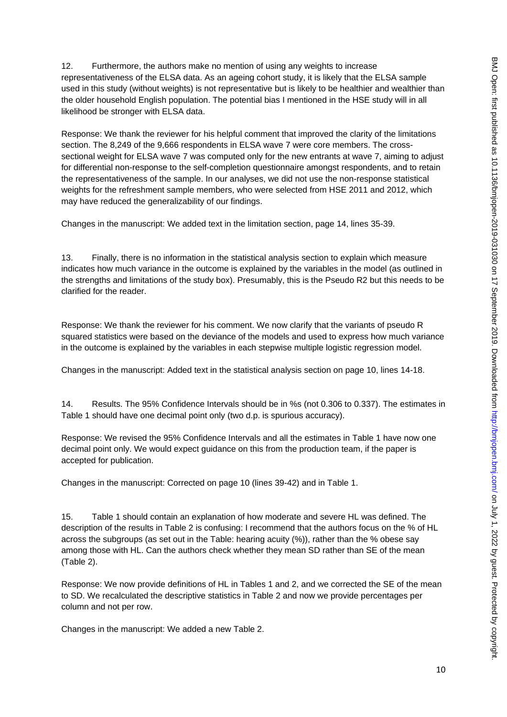12. Furthermore, the authors make no mention of using any weights to increase representativeness of the ELSA data. As an ageing cohort study, it is likely that the ELSA sample used in this study (without weights) is not representative but is likely to be healthier and wealthier than the older household English population. The potential bias I mentioned in the HSE study will in all likelihood be stronger with ELSA data.

Response: We thank the reviewer for his helpful comment that improved the clarity of the limitations section. The 8,249 of the 9,666 respondents in ELSA wave 7 were core members. The crosssectional weight for ELSA wave 7 was computed only for the new entrants at wave 7, aiming to adjust for differential non-response to the self-completion questionnaire amongst respondents, and to retain the representativeness of the sample. In our analyses, we did not use the non-response statistical weights for the refreshment sample members, who were selected from HSE 2011 and 2012, which may have reduced the generalizability of our findings.

Changes in the manuscript: We added text in the limitation section, page 14, lines 35-39.

13. Finally, there is no information in the statistical analysis section to explain which measure indicates how much variance in the outcome is explained by the variables in the model (as outlined in the strengths and limitations of the study box). Presumably, this is the Pseudo R2 but this needs to be clarified for the reader.

Response: We thank the reviewer for his comment. We now clarify that the variants of pseudo R squared statistics were based on the deviance of the models and used to express how much variance in the outcome is explained by the variables in each stepwise multiple logistic regression model.

Changes in the manuscript: Added text in the statistical analysis section on page 10, lines 14-18.

14. Results. The 95% Confidence Intervals should be in %s (not 0.306 to 0.337). The estimates in Table 1 should have one decimal point only (two d.p. is spurious accuracy).

Response: We revised the 95% Confidence Intervals and all the estimates in Table 1 have now one decimal point only. We would expect guidance on this from the production team, if the paper is accepted for publication.

Changes in the manuscript: Corrected on page 10 (lines 39-42) and in Table 1.

15. Table 1 should contain an explanation of how moderate and severe HL was defined. The description of the results in Table 2 is confusing: I recommend that the authors focus on the % of HL across the subgroups (as set out in the Table: hearing acuity (%)), rather than the % obese say among those with HL. Can the authors check whether they mean SD rather than SE of the mean (Table 2).

Response: We now provide definitions of HL in Tables 1 and 2, and we corrected the SE of the mean to SD. We recalculated the descriptive statistics in Table 2 and now we provide percentages per column and not per row.

Changes in the manuscript: We added a new Table 2.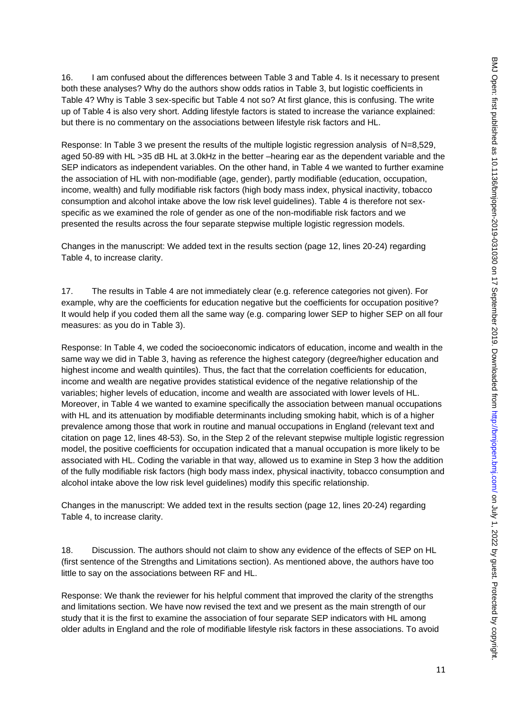16. I am confused about the differences between Table 3 and Table 4. Is it necessary to present both these analyses? Why do the authors show odds ratios in Table 3, but logistic coefficients in Table 4? Why is Table 3 sex-specific but Table 4 not so? At first glance, this is confusing. The write up of Table 4 is also very short. Adding lifestyle factors is stated to increase the variance explained: but there is no commentary on the associations between lifestyle risk factors and HL.

Response: In Table 3 we present the results of the multiple logistic regression analysis of N=8,529, aged 50-89 with HL >35 dB HL at 3.0kHz in the better –hearing ear as the dependent variable and the SEP indicators as independent variables. On the other hand, in Table 4 we wanted to further examine the association of HL with non-modifiable (age, gender), partly modifiable (education, occupation, income, wealth) and fully modifiable risk factors (high body mass index, physical inactivity, tobacco consumption and alcohol intake above the low risk level guidelines). Table 4 is therefore not sexspecific as we examined the role of gender as one of the non-modifiable risk factors and we presented the results across the four separate stepwise multiple logistic regression models.

Changes in the manuscript: We added text in the results section (page 12, lines 20-24) regarding Table 4, to increase clarity.

17. The results in Table 4 are not immediately clear (e.g. reference categories not given). For example, why are the coefficients for education negative but the coefficients for occupation positive? It would help if you coded them all the same way (e.g. comparing lower SEP to higher SEP on all four measures: as you do in Table 3).

Response: In Table 4, we coded the socioeconomic indicators of education, income and wealth in the same way we did in Table 3, having as reference the highest category (degree/higher education and highest income and wealth quintiles). Thus, the fact that the correlation coefficients for education, income and wealth are negative provides statistical evidence of the negative relationship of the variables; higher levels of education, income and wealth are associated with lower levels of HL. Moreover, in Table 4 we wanted to examine specifically the association between manual occupations with HL and its attenuation by modifiable determinants including smoking habit, which is of a higher prevalence among those that work in routine and manual occupations in England (relevant text and citation on page 12, lines 48-53). So, in the Step 2 of the relevant stepwise multiple logistic regression model, the positive coefficients for occupation indicated that a manual occupation is more likely to be associated with HL. Coding the variable in that way, allowed us to examine in Step 3 how the addition of the fully modifiable risk factors (high body mass index, physical inactivity, tobacco consumption and alcohol intake above the low risk level guidelines) modify this specific relationship.

Changes in the manuscript: We added text in the results section (page 12, lines 20-24) regarding Table 4, to increase clarity.

18. Discussion. The authors should not claim to show any evidence of the effects of SEP on HL (first sentence of the Strengths and Limitations section). As mentioned above, the authors have too little to say on the associations between RF and HL.

Response: We thank the reviewer for his helpful comment that improved the clarity of the strengths and limitations section. We have now revised the text and we present as the main strength of our study that it is the first to examine the association of four separate SEP indicators with HL among older adults in England and the role of modifiable lifestyle risk factors in these associations. To avoid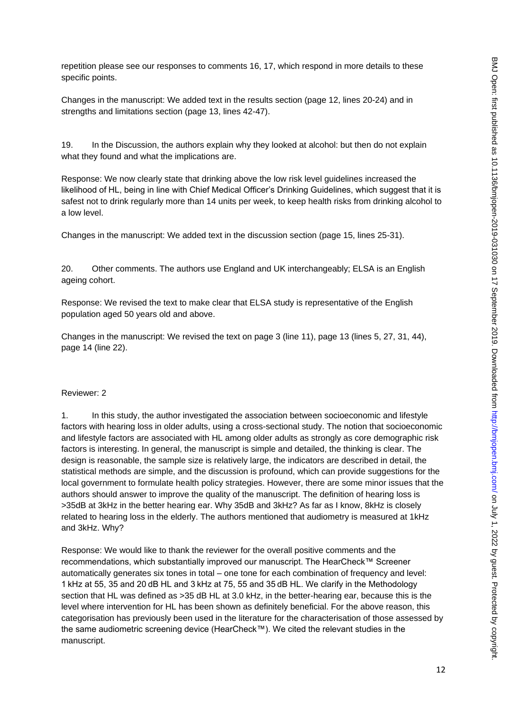repetition please see our responses to comments 16, 17, which respond in more details to these specific points.

Changes in the manuscript: We added text in the results section (page 12, lines 20-24) and in strengths and limitations section (page 13, lines 42-47).

19. In the Discussion, the authors explain why they looked at alcohol: but then do not explain what they found and what the implications are.

Response: We now clearly state that drinking above the low risk level guidelines increased the likelihood of HL, being in line with Chief Medical Officer's Drinking Guidelines, which suggest that it is safest not to drink regularly more than 14 units per week, to keep health risks from drinking alcohol to a low level.

Changes in the manuscript: We added text in the discussion section (page 15, lines 25-31).

20. Other comments. The authors use England and UK interchangeably; ELSA is an English ageing cohort.

Response: We revised the text to make clear that ELSA study is representative of the English population aged 50 years old and above.

Changes in the manuscript: We revised the text on page 3 (line 11), page 13 (lines 5, 27, 31, 44), page 14 (line 22).

#### Reviewer: 2

1. In this study, the author investigated the association between socioeconomic and lifestyle factors with hearing loss in older adults, using a cross-sectional study. The notion that socioeconomic and lifestyle factors are associated with HL among older adults as strongly as core demographic risk factors is interesting. In general, the manuscript is simple and detailed, the thinking is clear. The design is reasonable, the sample size is relatively large, the indicators are described in detail, the statistical methods are simple, and the discussion is profound, which can provide suggestions for the local government to formulate health policy strategies. However, there are some minor issues that the authors should answer to improve the quality of the manuscript. The definition of hearing loss is >35dB at 3kHz in the better hearing ear. Why 35dB and 3kHz? As far as I know, 8kHz is closely related to hearing loss in the elderly. The authors mentioned that audiometry is measured at 1kHz and 3kHz. Why?

Response: We would like to thank the reviewer for the overall positive comments and the recommendations, which substantially improved our manuscript. The HearCheck™ Screener automatically generates six tones in total – one tone for each combination of frequency and level: 1 kHz at 55, 35 and 20 dB HL and 3 kHz at 75, 55 and 35 dB HL. We clarify in the Methodology section that HL was defined as >35 dB HL at 3.0 kHz, in the better-hearing ear, because this is the level where intervention for HL has been shown as definitely beneficial. For the above reason, this categorisation has previously been used in the literature for the characterisation of those assessed by the same audiometric screening device (HearCheck™). We cited the relevant studies in the manuscript.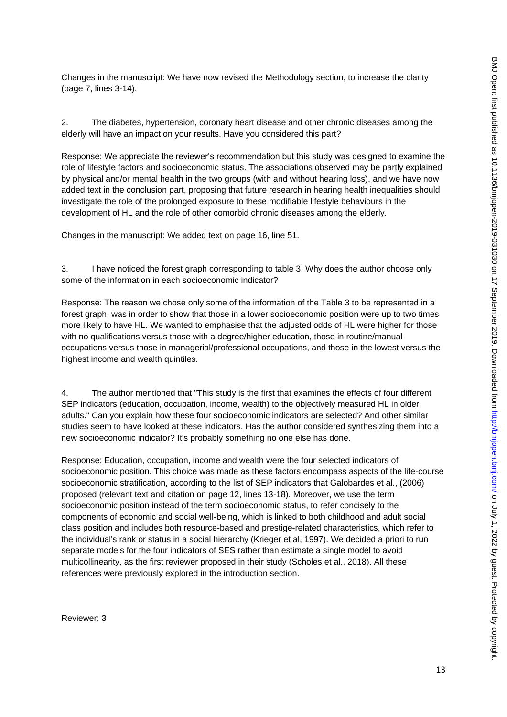Changes in the manuscript: We have now revised the Methodology section, to increase the clarity (page 7, lines 3-14).

2. The diabetes, hypertension, coronary heart disease and other chronic diseases among the elderly will have an impact on your results. Have you considered this part?

Response: We appreciate the reviewer's recommendation but this study was designed to examine the role of lifestyle factors and socioeconomic status. The associations observed may be partly explained by physical and/or mental health in the two groups (with and without hearing loss), and we have now added text in the conclusion part, proposing that future research in hearing health inequalities should investigate the role of the prolonged exposure to these modifiable lifestyle behaviours in the development of HL and the role of other comorbid chronic diseases among the elderly.

Changes in the manuscript: We added text on page 16, line 51.

3. I have noticed the forest graph corresponding to table 3. Why does the author choose only some of the information in each socioeconomic indicator?

Response: The reason we chose only some of the information of the Table 3 to be represented in a forest graph, was in order to show that those in a lower socioeconomic position were up to two times more likely to have HL. We wanted to emphasise that the adjusted odds of HL were higher for those with no qualifications versus those with a degree/higher education, those in routine/manual occupations versus those in managerial/professional occupations, and those in the lowest versus the highest income and wealth quintiles.

4. The author mentioned that "This study is the first that examines the effects of four different SEP indicators (education, occupation, income, wealth) to the objectively measured HL in older adults." Can you explain how these four socioeconomic indicators are selected? And other similar studies seem to have looked at these indicators. Has the author considered synthesizing them into a new socioeconomic indicator? It's probably something no one else has done.

Response: Education, occupation, income and wealth were the four selected indicators of socioeconomic position. This choice was made as these factors encompass aspects of the life-course socioeconomic stratification, according to the list of SEP indicators that Galobardes et al., (2006) proposed (relevant text and citation on page 12, lines 13-18). Moreover, we use the term socioeconomic position instead of the term socioeconomic status, to refer concisely to the components of economic and social well-being, which is linked to both childhood and adult social class position and includes both resource-based and prestige-related characteristics, which refer to the individual's rank or status in a social hierarchy (Krieger et al, 1997). We decided a priori to run separate models for the four indicators of SES rather than estimate a single model to avoid multicollinearity, as the first reviewer proposed in their study (Scholes et al., 2018). All these references were previously explored in the introduction section.

Reviewer: 3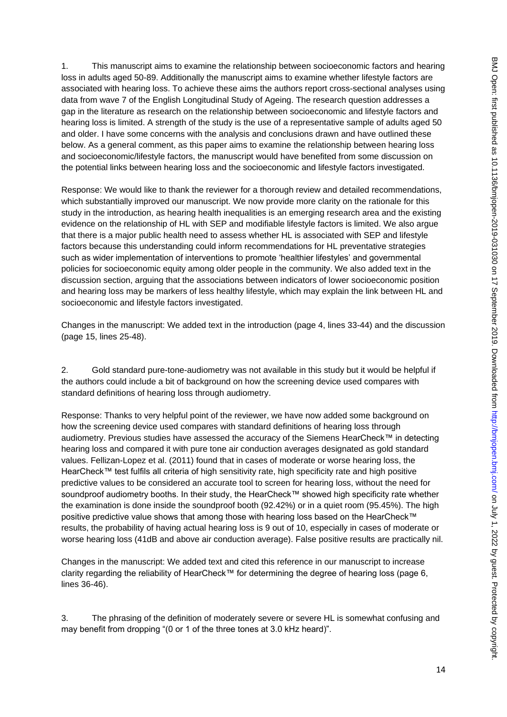1. This manuscript aims to examine the relationship between socioeconomic factors and hearing loss in adults aged 50-89. Additionally the manuscript aims to examine whether lifestyle factors are associated with hearing loss. To achieve these aims the authors report cross-sectional analyses using data from wave 7 of the English Longitudinal Study of Ageing. The research question addresses a gap in the literature as research on the relationship between socioeconomic and lifestyle factors and hearing loss is limited. A strength of the study is the use of a representative sample of adults aged 50 and older. I have some concerns with the analysis and conclusions drawn and have outlined these below. As a general comment, as this paper aims to examine the relationship between hearing loss and socioeconomic/lifestyle factors, the manuscript would have benefited from some discussion on the potential links between hearing loss and the socioeconomic and lifestyle factors investigated.

Response: We would like to thank the reviewer for a thorough review and detailed recommendations, which substantially improved our manuscript. We now provide more clarity on the rationale for this study in the introduction, as hearing health inequalities is an emerging research area and the existing evidence on the relationship of HL with SEP and modifiable lifestyle factors is limited. We also argue that there is a major public health need to assess whether HL is associated with SEP and lifestyle factors because this understanding could inform recommendations for HL preventative strategies such as wider implementation of interventions to promote 'healthier lifestyles' and governmental policies for socioeconomic equity among older people in the community. We also added text in the discussion section, arguing that the associations between indicators of lower socioeconomic position and hearing loss may be markers of less healthy lifestyle, which may explain the link between HL and socioeconomic and lifestyle factors investigated.

Changes in the manuscript: We added text in the introduction (page 4, lines 33-44) and the discussion (page 15, lines 25-48).

2. Gold standard pure-tone-audiometry was not available in this study but it would be helpful if the authors could include a bit of background on how the screening device used compares with standard definitions of hearing loss through audiometry.

Response: Thanks to very helpful point of the reviewer, we have now added some background on how the screening device used compares with standard definitions of hearing loss through audiometry. Previous studies have assessed the accuracy of the Siemens HearCheck™ in detecting hearing loss and compared it with pure tone air conduction averages designated as gold standard values. Fellizan-Lopez et al. (2011) found that in cases of moderate or worse hearing loss, the HearCheck™ test fulfils all criteria of high sensitivity rate, high specificity rate and high positive predictive values to be considered an accurate tool to screen for hearing loss, without the need for soundproof audiometry booths. In their study, the HearCheck™ showed high specificity rate whether the examination is done inside the soundproof booth (92.42%) or in a quiet room (95.45%). The high positive predictive value shows that among those with hearing loss based on the HearCheck™ results, the probability of having actual hearing loss is 9 out of 10, especially in cases of moderate or worse hearing loss (41dB and above air conduction average). False positive results are practically nil.

Changes in the manuscript: We added text and cited this reference in our manuscript to increase clarity regarding the reliability of HearCheck™ for determining the degree of hearing loss (page 6, lines 36-46).

3. The phrasing of the definition of moderately severe or severe HL is somewhat confusing and may benefit from dropping "(0 or 1 of the three tones at 3.0 kHz heard)".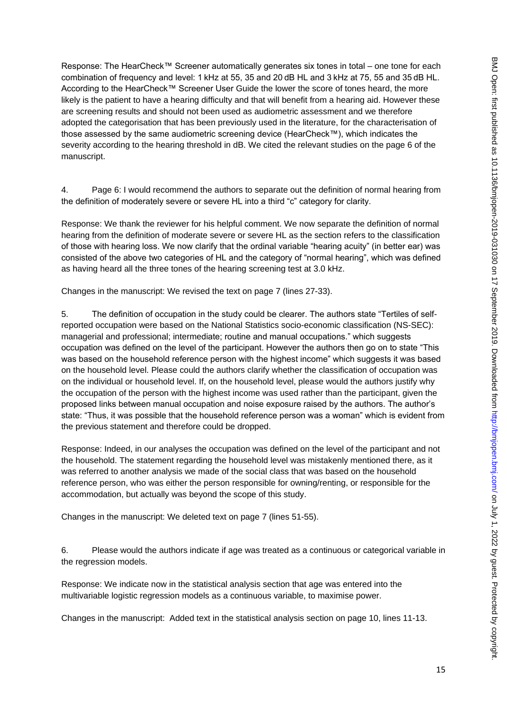Response: The HearCheck™ Screener automatically generates six tones in total – one tone for each combination of frequency and level: 1 kHz at 55, 35 and 20 dB HL and 3 kHz at 75, 55 and 35 dB HL. According to the HearCheck™ Screener User Guide the lower the score of tones heard, the more likely is the patient to have a hearing difficulty and that will benefit from a hearing aid. However these are screening results and should not been used as audiometric assessment and we therefore adopted the categorisation that has been previously used in the literature, for the characterisation of those assessed by the same audiometric screening device (HearCheck™), which indicates the severity according to the hearing threshold in dB. We cited the relevant studies on the page 6 of the manuscript.

4. Page 6: I would recommend the authors to separate out the definition of normal hearing from the definition of moderately severe or severe HL into a third "c" category for clarity.

Response: We thank the reviewer for his helpful comment. We now separate the definition of normal hearing from the definition of moderate severe or severe HL as the section refers to the classification of those with hearing loss. We now clarify that the ordinal variable "hearing acuity" (in better ear) was consisted of the above two categories of HL and the category of "normal hearing", which was defined as having heard all the three tones of the hearing screening test at 3.0 kHz.

Changes in the manuscript: We revised the text on page 7 (lines 27-33).

5. The definition of occupation in the study could be clearer. The authors state "Tertiles of selfreported occupation were based on the National Statistics socio-economic classification (NS-SEC): managerial and professional; intermediate; routine and manual occupations." which suggests occupation was defined on the level of the participant. However the authors then go on to state "This was based on the household reference person with the highest income" which suggests it was based on the household level. Please could the authors clarify whether the classification of occupation was on the individual or household level. If, on the household level, please would the authors justify why the occupation of the person with the highest income was used rather than the participant, given the proposed links between manual occupation and noise exposure raised by the authors. The author's state: "Thus, it was possible that the household reference person was a woman" which is evident from the previous statement and therefore could be dropped.

Response: Indeed, in our analyses the occupation was defined on the level of the participant and not the household. The statement regarding the household level was mistakenly mentioned there, as it was referred to another analysis we made of the social class that was based on the household reference person, who was either the person responsible for owning/renting, or responsible for the accommodation, but actually was beyond the scope of this study.

Changes in the manuscript: We deleted text on page 7 (lines 51-55).

6. Please would the authors indicate if age was treated as a continuous or categorical variable in the regression models.

Response: We indicate now in the statistical analysis section that age was entered into the multivariable logistic regression models as a continuous variable, to maximise power.

Changes in the manuscript: Added text in the statistical analysis section on page 10, lines 11-13.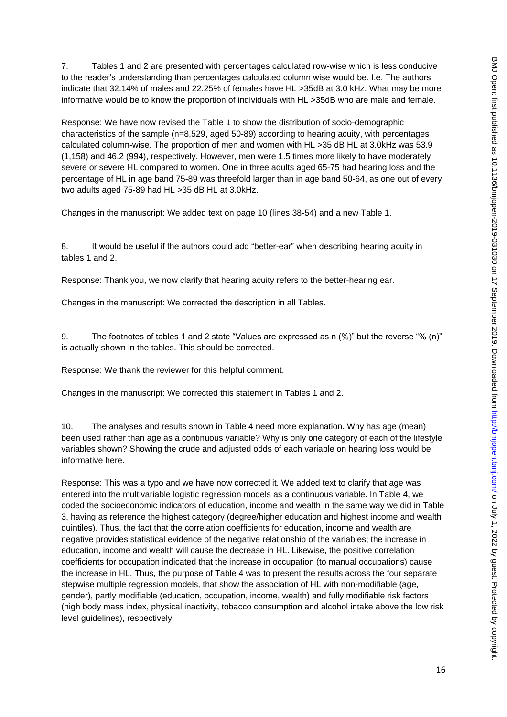7. Tables 1 and 2 are presented with percentages calculated row-wise which is less conducive to the reader's understanding than percentages calculated column wise would be. I.e. The authors indicate that 32.14% of males and 22.25% of females have HL >35dB at 3.0 kHz. What may be more informative would be to know the proportion of individuals with HL >35dB who are male and female.

Response: We have now revised the Table 1 to show the distribution of socio-demographic characteristics of the sample (n=8,529, aged 50-89) according to hearing acuity, with percentages calculated column-wise. The proportion of men and women with HL >35 dB HL at 3.0kHz was 53.9 (1,158) and 46.2 (994), respectively. However, men were 1.5 times more likely to have moderately severe or severe HL compared to women. One in three adults aged 65-75 had hearing loss and the percentage of HL in age band 75-89 was threefold larger than in age band 50-64, as one out of every two adults aged 75-89 had HL >35 dB HL at 3.0kHz.

Changes in the manuscript: We added text on page 10 (lines 38-54) and a new Table 1.

8. It would be useful if the authors could add "better-ear" when describing hearing acuity in tables 1 and 2.

Response: Thank you, we now clarify that hearing acuity refers to the better-hearing ear.

Changes in the manuscript: We corrected the description in all Tables.

9. The footnotes of tables 1 and 2 state "Values are expressed as n (%)" but the reverse "% (n)" is actually shown in the tables. This should be corrected.

Response: We thank the reviewer for this helpful comment.

Changes in the manuscript: We corrected this statement in Tables 1 and 2.

10. The analyses and results shown in Table 4 need more explanation. Why has age (mean) been used rather than age as a continuous variable? Why is only one category of each of the lifestyle variables shown? Showing the crude and adjusted odds of each variable on hearing loss would be informative here.

Response: This was a typo and we have now corrected it. We added text to clarify that age was entered into the multivariable logistic regression models as a continuous variable. In Table 4, we coded the socioeconomic indicators of education, income and wealth in the same way we did in Table 3, having as reference the highest category (degree/higher education and highest income and wealth quintiles). Thus, the fact that the correlation coefficients for education, income and wealth are negative provides statistical evidence of the negative relationship of the variables; the increase in education, income and wealth will cause the decrease in HL. Likewise, the positive correlation coefficients for occupation indicated that the increase in occupation (to manual occupations) cause the increase in HL. Thus, the purpose of Table 4 was to present the results across the four separate stepwise multiple regression models, that show the association of HL with non-modifiable (age, gender), partly modifiable (education, occupation, income, wealth) and fully modifiable risk factors (high body mass index, physical inactivity, tobacco consumption and alcohol intake above the low risk level guidelines), respectively.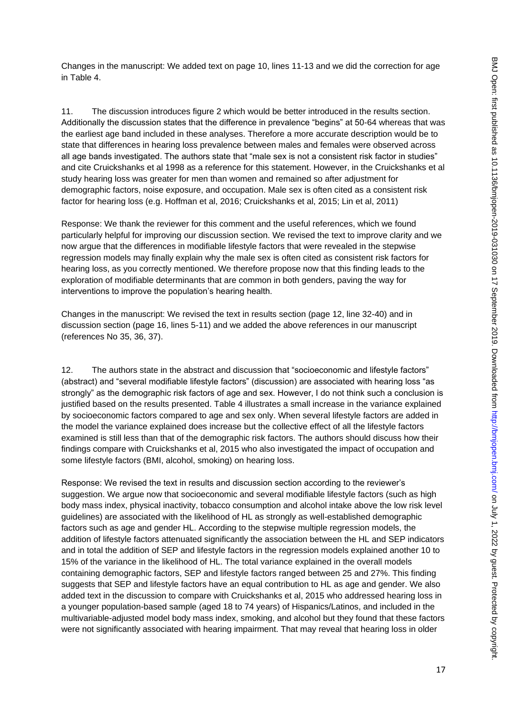Changes in the manuscript: We added text on page 10, lines 11-13 and we did the correction for age in Table 4.

11. The discussion introduces figure 2 which would be better introduced in the results section. Additionally the discussion states that the difference in prevalence "begins" at 50-64 whereas that was the earliest age band included in these analyses. Therefore a more accurate description would be to state that differences in hearing loss prevalence between males and females were observed across all age bands investigated. The authors state that "male sex is not a consistent risk factor in studies" and cite Cruickshanks et al 1998 as a reference for this statement. However, in the Cruickshanks et al study hearing loss was greater for men than women and remained so after adjustment for demographic factors, noise exposure, and occupation. Male sex is often cited as a consistent risk factor for hearing loss (e.g. Hoffman et al, 2016; Cruickshanks et al, 2015; Lin et al, 2011)

Response: We thank the reviewer for this comment and the useful references, which we found particularly helpful for improving our discussion section. We revised the text to improve clarity and we now argue that the differences in modifiable lifestyle factors that were revealed in the stepwise regression models may finally explain why the male sex is often cited as consistent risk factors for hearing loss, as you correctly mentioned. We therefore propose now that this finding leads to the exploration of modifiable determinants that are common in both genders, paving the way for interventions to improve the population's hearing health.

Changes in the manuscript: We revised the text in results section (page 12, line 32-40) and in discussion section (page 16, lines 5-11) and we added the above references in our manuscript (references No 35, 36, 37).

12. The authors state in the abstract and discussion that "socioeconomic and lifestyle factors" (abstract) and "several modifiable lifestyle factors" (discussion) are associated with hearing loss "as strongly" as the demographic risk factors of age and sex. However, I do not think such a conclusion is justified based on the results presented. Table 4 illustrates a small increase in the variance explained by socioeconomic factors compared to age and sex only. When several lifestyle factors are added in the model the variance explained does increase but the collective effect of all the lifestyle factors examined is still less than that of the demographic risk factors. The authors should discuss how their findings compare with Cruickshanks et al, 2015 who also investigated the impact of occupation and some lifestyle factors (BMI, alcohol, smoking) on hearing loss.

Response: We revised the text in results and discussion section according to the reviewer's suggestion. We argue now that socioeconomic and several modifiable lifestyle factors (such as high body mass index, physical inactivity, tobacco consumption and alcohol intake above the low risk level guidelines) are associated with the likelihood of HL as strongly as well-established demographic factors such as age and gender HL. According to the stepwise multiple regression models, the addition of lifestyle factors attenuated significantly the association between the HL and SEP indicators and in total the addition of SEP and lifestyle factors in the regression models explained another 10 to 15% of the variance in the likelihood of HL. The total variance explained in the overall models containing demographic factors, SEP and lifestyle factors ranged between 25 and 27%. This finding suggests that SEP and lifestyle factors have an equal contribution to HL as age and gender. We also added text in the discussion to compare with Cruickshanks et al, 2015 who addressed hearing loss in a younger population-based sample (aged 18 to 74 years) of Hispanics/Latinos, and included in the multivariable-adjusted model body mass index, smoking, and alcohol but they found that these factors were not significantly associated with hearing impairment. That may reveal that hearing loss in older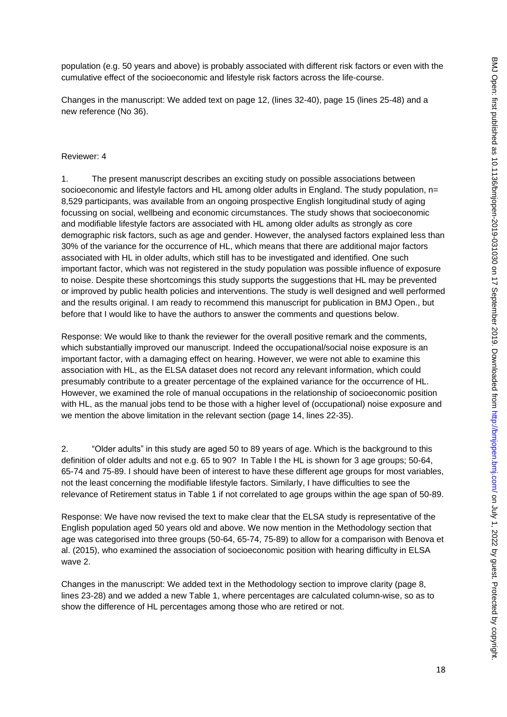population (e.g. 50 years and above) is probably associated with different risk factors or even with the cumulative effect of the socioeconomic and lifestyle risk factors across the life-course.

Changes in the manuscript: We added text on page 12, (lines 32-40), page 15 (lines 25-48) and a new reference (No 36).

### Reviewer: 4

1. The present manuscript describes an exciting study on possible associations between socioeconomic and lifestyle factors and HL among older adults in England. The study population, n= 8,529 participants, was available from an ongoing prospective English longitudinal study of aging focussing on social, wellbeing and economic circumstances. The study shows that socioeconomic and modifiable lifestyle factors are associated with HL among older adults as strongly as core demographic risk factors, such as age and gender. However, the analysed factors explained less than 30% of the variance for the occurrence of HL, which means that there are additional major factors associated with HL in older adults, which still has to be investigated and identified. One such important factor, which was not registered in the study population was possible influence of exposure to noise. Despite these shortcomings this study supports the suggestions that HL may be prevented or improved by public health policies and interventions. The study is well designed and well performed and the results original. I am ready to recommend this manuscript for publication in BMJ Open., but before that I would like to have the authors to answer the comments and questions below.

Response: We would like to thank the reviewer for the overall positive remark and the comments, which substantially improved our manuscript. Indeed the occupational/social noise exposure is an important factor, with a damaging effect on hearing. However, we were not able to examine this association with HL, as the ELSA dataset does not record any relevant information, which could presumably contribute to a greater percentage of the explained variance for the occurrence of HL. However, we examined the role of manual occupations in the relationship of socioeconomic position with HL, as the manual jobs tend to be those with a higher level of (occupational) noise exposure and we mention the above limitation in the relevant section (page 14, lines 22-35).

2. "Older adults" in this study are aged 50 to 89 years of age. Which is the background to this definition of older adults and not e.g. 65 to 90? In Table I the HL is shown for 3 age groups; 50-64, 65-74 and 75-89. I should have been of interest to have these different age groups for most variables, not the least concerning the modifiable lifestyle factors. Similarly, I have difficulties to see the relevance of Retirement status in Table 1 if not correlated to age groups within the age span of 50-89.

Response: We have now revised the text to make clear that the ELSA study is representative of the English population aged 50 years old and above. We now mention in the Methodology section that age was categorised into three groups (50-64, 65-74, 75-89) to allow for a comparison with Benova et al. (2015), who examined the association of socioeconomic position with hearing difficulty in ELSA wave 2.

Changes in the manuscript: We added text in the Methodology section to improve clarity (page 8, lines 23-28) and we added a new Table 1, where percentages are calculated column-wise, so as to show the difference of HL percentages among those who are retired or not.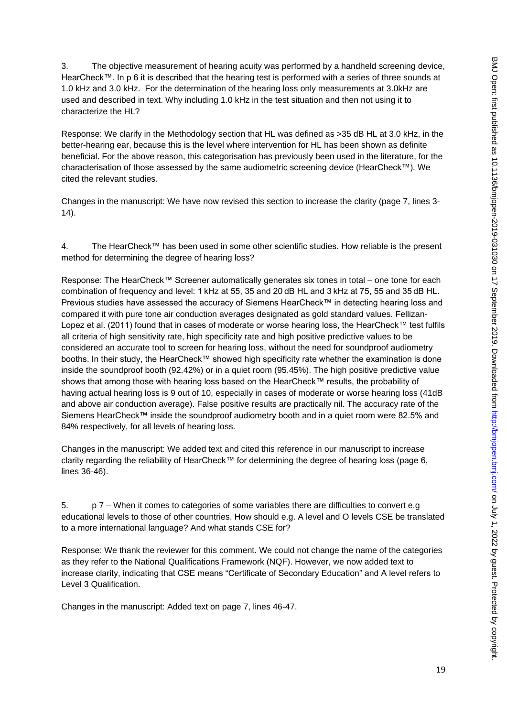3. The objective measurement of hearing acuity was performed by a handheld screening device, HearCheck™. In p 6 it is described that the hearing test is performed with a series of three sounds at 1.0 kHz and 3.0 kHz. For the determination of the hearing loss only measurements at 3.0kHz are used and described in text. Why including 1.0 kHz in the test situation and then not using it to characterize the HL?

Response: We clarify in the Methodology section that HL was defined as >35 dB HL at 3.0 kHz, in the better-hearing ear, because this is the level where intervention for HL has been shown as definite beneficial. For the above reason, this categorisation has previously been used in the literature, for the characterisation of those assessed by the same audiometric screening device (HearCheck™). We cited the relevant studies.

Changes in the manuscript: We have now revised this section to increase the clarity (page 7, lines 3- 14).

4. The HearCheck™ has been used in some other scientific studies. How reliable is the present method for determining the degree of hearing loss?

Response: The HearCheck™ Screener automatically generates six tones in total – one tone for each combination of frequency and level: 1 kHz at 55, 35 and 20 dB HL and 3 kHz at 75, 55 and 35 dB HL. Previous studies have assessed the accuracy of Siemens HearCheck™ in detecting hearing loss and compared it with pure tone air conduction averages designated as gold standard values. Fellizan-Lopez et al. (2011) found that in cases of moderate or worse hearing loss, the HearCheck™ test fulfils all criteria of high sensitivity rate, high specificity rate and high positive predictive values to be considered an accurate tool to screen for hearing loss, without the need for soundproof audiometry booths. In their study, the HearCheck™ showed high specificity rate whether the examination is done inside the soundproof booth (92.42%) or in a quiet room (95.45%). The high positive predictive value shows that among those with hearing loss based on the HearCheck™ results, the probability of having actual hearing loss is 9 out of 10, especially in cases of moderate or worse hearing loss (41dB and above air conduction average). False positive results are practically nil. The accuracy rate of the Siemens HearCheck™ inside the soundproof audiometry booth and in a quiet room were 82.5% and 84% respectively, for all levels of hearing loss.

Changes in the manuscript: We added text and cited this reference in our manuscript to increase clarity regarding the reliability of HearCheck™ for determining the degree of hearing loss (page 6, lines 36-46).

5. p 7 – When it comes to categories of some variables there are difficulties to convert e.g educational levels to those of other countries. How should e.g. A level and O levels CSE be translated to a more international language? And what stands CSE for?

Response: We thank the reviewer for this comment. We could not change the name of the categories as they refer to the National Qualifications Framework (NQF). However, we now added text to increase clarity, indicating that CSE means "Certificate of Secondary Education" and A level refers to Level 3 Qualification.

Changes in the manuscript: Added text on page 7, lines 46-47.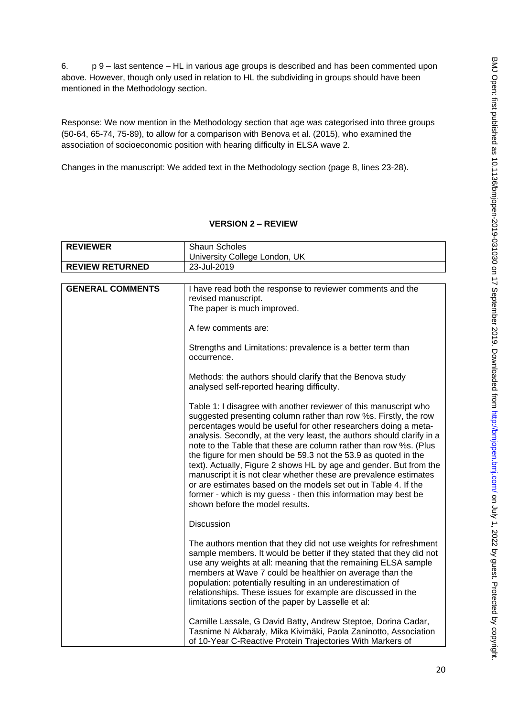6. p 9 – last sentence – HL in various age groups is described and has been commented upon above. However, though only used in relation to HL the subdividing in groups should have been mentioned in the Methodology section.

Response: We now mention in the Methodology section that age was categorised into three groups (50-64, 65-74, 75-89), to allow for a comparison with Benova et al. (2015), who examined the association of socioeconomic position with hearing difficulty in ELSA wave 2.

Changes in the manuscript: We added text in the Methodology section (page 8, lines 23-28).

### **VERSION 2 – REVIEW**

| <b>REVIEWER</b>        | <b>Shaun Scholes</b><br>University College London, UK |
|------------------------|-------------------------------------------------------|
| <b>REVIEW RETURNED</b> | 23-Jul-2019                                           |

| <b>GENERAL COMMENTS</b> | I have read both the response to reviewer comments and the<br>revised manuscript.<br>The paper is much improved.                                                                                                                                                                                                                                                                                                                                                                                                                                                                                                                                                                                                                             |
|-------------------------|----------------------------------------------------------------------------------------------------------------------------------------------------------------------------------------------------------------------------------------------------------------------------------------------------------------------------------------------------------------------------------------------------------------------------------------------------------------------------------------------------------------------------------------------------------------------------------------------------------------------------------------------------------------------------------------------------------------------------------------------|
|                         | A few comments are:                                                                                                                                                                                                                                                                                                                                                                                                                                                                                                                                                                                                                                                                                                                          |
|                         | Strengths and Limitations: prevalence is a better term than<br>occurrence.                                                                                                                                                                                                                                                                                                                                                                                                                                                                                                                                                                                                                                                                   |
|                         | Methods: the authors should clarify that the Benova study<br>analysed self-reported hearing difficulty.                                                                                                                                                                                                                                                                                                                                                                                                                                                                                                                                                                                                                                      |
|                         | Table 1: I disagree with another reviewer of this manuscript who<br>suggested presenting column rather than row %s. Firstly, the row<br>percentages would be useful for other researchers doing a meta-<br>analysis. Secondly, at the very least, the authors should clarify in a<br>note to the Table that these are column rather than row %s. (Plus<br>the figure for men should be 59.3 not the 53.9 as quoted in the<br>text). Actually, Figure 2 shows HL by age and gender. But from the<br>manuscript it is not clear whether these are prevalence estimates<br>or are estimates based on the models set out in Table 4. If the<br>former - which is my guess - then this information may best be<br>shown before the model results. |
|                         | Discussion                                                                                                                                                                                                                                                                                                                                                                                                                                                                                                                                                                                                                                                                                                                                   |
|                         | The authors mention that they did not use weights for refreshment<br>sample members. It would be better if they stated that they did not<br>use any weights at all: meaning that the remaining ELSA sample<br>members at Wave 7 could be healthier on average than the<br>population: potentially resulting in an underestimation of<br>relationships. These issues for example are discussed in the<br>limitations section of the paper by Lasselle et al:                                                                                                                                                                                                                                                                                  |
|                         | Camille Lassale, G David Batty, Andrew Steptoe, Dorina Cadar,<br>Tasnime N Akbaraly, Mika Kivimäki, Paola Zaninotto, Association<br>of 10-Year C-Reactive Protein Trajectories With Markers of                                                                                                                                                                                                                                                                                                                                                                                                                                                                                                                                               |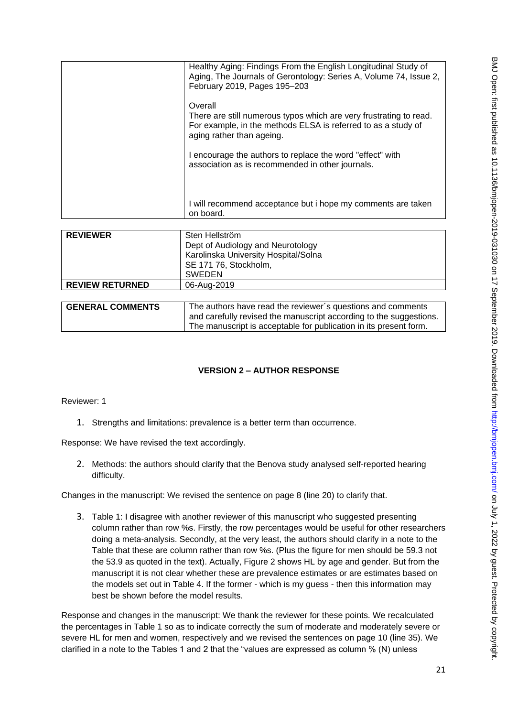|                 | Healthy Aging: Findings From the English Longitudinal Study of<br>Aging, The Journals of Gerontology: Series A, Volume 74, Issue 2,<br>February 2019, Pages 195-203         |
|-----------------|-----------------------------------------------------------------------------------------------------------------------------------------------------------------------------|
|                 | Overall<br>There are still numerous typos which are very frustrating to read.<br>For example, in the methods ELSA is referred to as a study of<br>aging rather than ageing. |
|                 | I encourage the authors to replace the word "effect" with<br>association as is recommended in other journals.                                                               |
|                 | I will recommend acceptance but i hope my comments are taken<br>on board.                                                                                                   |
|                 |                                                                                                                                                                             |
| <b>REVIEWER</b> | Sten Hellström                                                                                                                                                              |

| <b>REVIEWER</b>        | Sten Hellström<br>Dept of Audiology and Neurotology<br>Karolinska University Hospital/Solna<br>SE 171 76, Stockholm,<br><b>SWEDEN</b> |
|------------------------|---------------------------------------------------------------------------------------------------------------------------------------|
| <b>REVIEW RETURNED</b> | 06-Aug-2019                                                                                                                           |
|                        |                                                                                                                                       |

| <b>GENERAL COMMENTS</b> | The authors have read the reviewer's questions and comments        |
|-------------------------|--------------------------------------------------------------------|
|                         | and carefully revised the manuscript according to the suggestions. |
|                         | The manuscript is acceptable for publication in its present form.  |

# **VERSION 2 – AUTHOR RESPONSE**

Reviewer: 1

1. Strengths and limitations: prevalence is a better term than occurrence.

Response: We have revised the text accordingly.

2. Methods: the authors should clarify that the Benova study analysed self-reported hearing difficulty.

Changes in the manuscript: We revised the sentence on page 8 (line 20) to clarify that.

3. Table 1: I disagree with another reviewer of this manuscript who suggested presenting column rather than row %s. Firstly, the row percentages would be useful for other researchers doing a meta-analysis. Secondly, at the very least, the authors should clarify in a note to the Table that these are column rather than row %s. (Plus the figure for men should be 59.3 not the 53.9 as quoted in the text). Actually, Figure 2 shows HL by age and gender. But from the manuscript it is not clear whether these are prevalence estimates or are estimates based on the models set out in Table 4. If the former - which is my guess - then this information may best be shown before the model results.

Response and changes in the manuscript: We thank the reviewer for these points. We recalculated the percentages in Table 1 so as to indicate correctly the sum of moderate and moderately severe or severe HL for men and women, respectively and we revised the sentences on page 10 (line 35). We clarified in a note to the Tables 1 and 2 that the "values are expressed as column % (N) unless